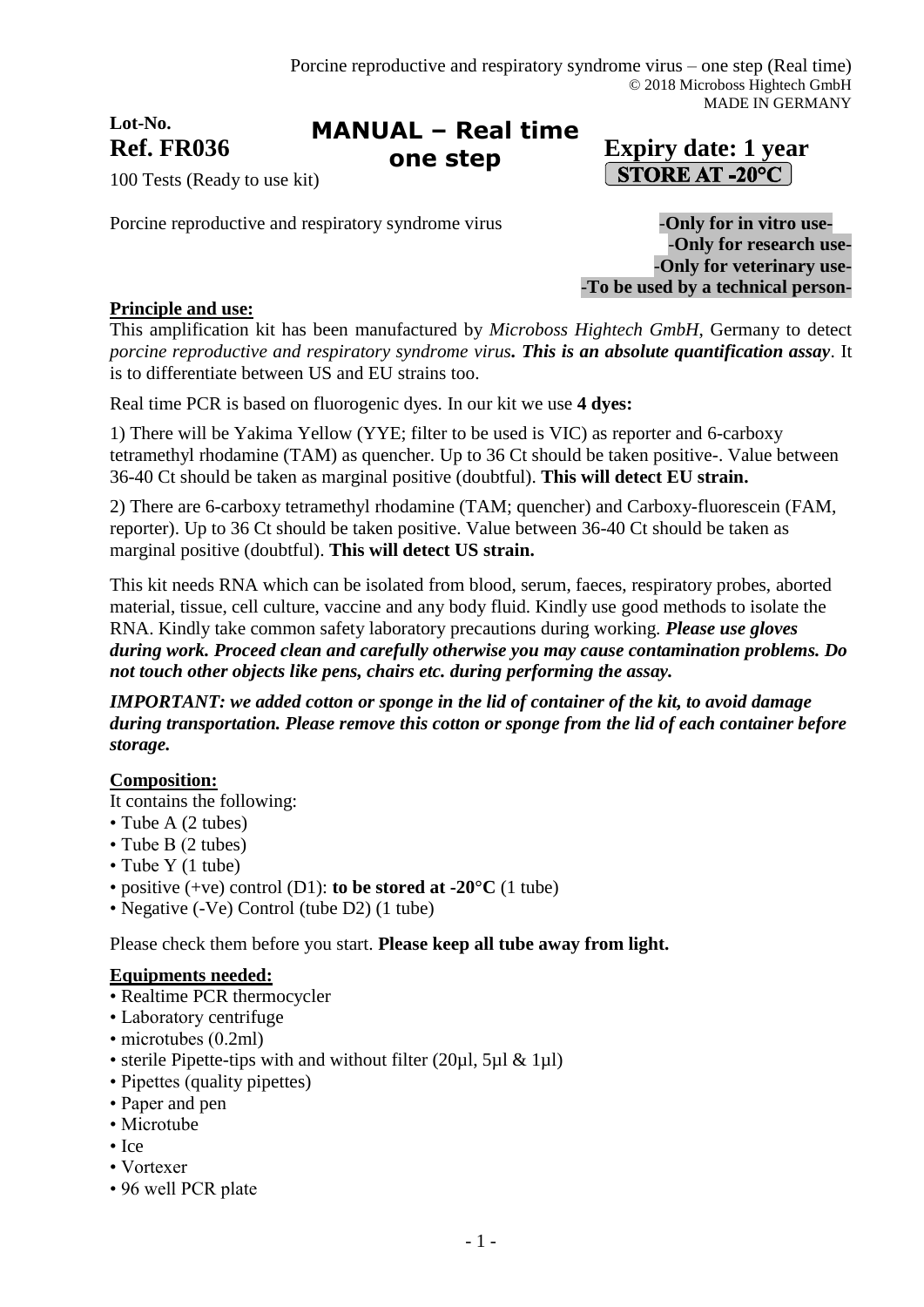# **Lot-No.**

#### Ref. FR036 **Expiry date:** 1 year **MANUAL – Real time one step**

# **STORE AT -20°C**

100 Tests (Ready to use kit)

Porcine reproductive and respiratory syndrome virus **-Only for in vitro use-**

-**Only for research use-** -**Only for veterinary use-** -**To be used by a technical person-**

# **Principle and use:**

This amplification kit has been manufactured by *Microboss Hightech GmbH*, Germany to detect *porcine reproductive and respiratory syndrome virus. This is an absolute quantification assay*. It is to differentiate between US and EU strains too.

Real time PCR is based on fluorogenic dyes. In our kit we use **4 dyes:**

1) There will be Yakima Yellow (YYE; filter to be used is VIC) as reporter and 6-carboxy tetramethyl rhodamine (TAM) as quencher. Up to 36 Ct should be taken positive-. Value between 36-40 Ct should be taken as marginal positive (doubtful). **This will detect EU strain.**

2) There are 6-carboxy tetramethyl rhodamine (TAM; quencher) and Carboxy-fluorescein (FAM, reporter). Up to 36 Ct should be taken positive. Value between 36-40 Ct should be taken as marginal positive (doubtful). **This will detect US strain.**

This kit needs RNA which can be isolated from blood, serum, faeces, respiratory probes, aborted material, tissue, cell culture, vaccine and any body fluid. Kindly use good methods to isolate the RNA. Kindly take common safety laboratory precautions during working. *Please use gloves during work. Proceed clean and carefully otherwise you may cause contamination problems. Do not touch other objects like pens, chairs etc. during performing the assay.*

*IMPORTANT: we added cotton or sponge in the lid of container of the kit, to avoid damage during transportation. Please remove this cotton or sponge from the lid of each container before storage.*

# **Composition:**

It contains the following:

- Tube A (2 tubes)
- Tube B (2 tubes)
- Tube Y (1 tube)
- positive (+ve) control (D1): **to be stored at -20°C** (1 tube)
- Negative (-Ve) Control (tube D2) (1 tube)

Please check them before you start. **Please keep all tube away from light.**

### **Equipments needed:**

- Realtime PCR thermocycler
- Laboratory centrifuge
- microtubes (0.2ml)
- sterile Pipette-tips with and without filter (20µl, 5µl & 1µl)
- Pipettes (quality pipettes)
- Paper and pen
- Microtube
- Ice
- Vortexer
- 96 well PCR plate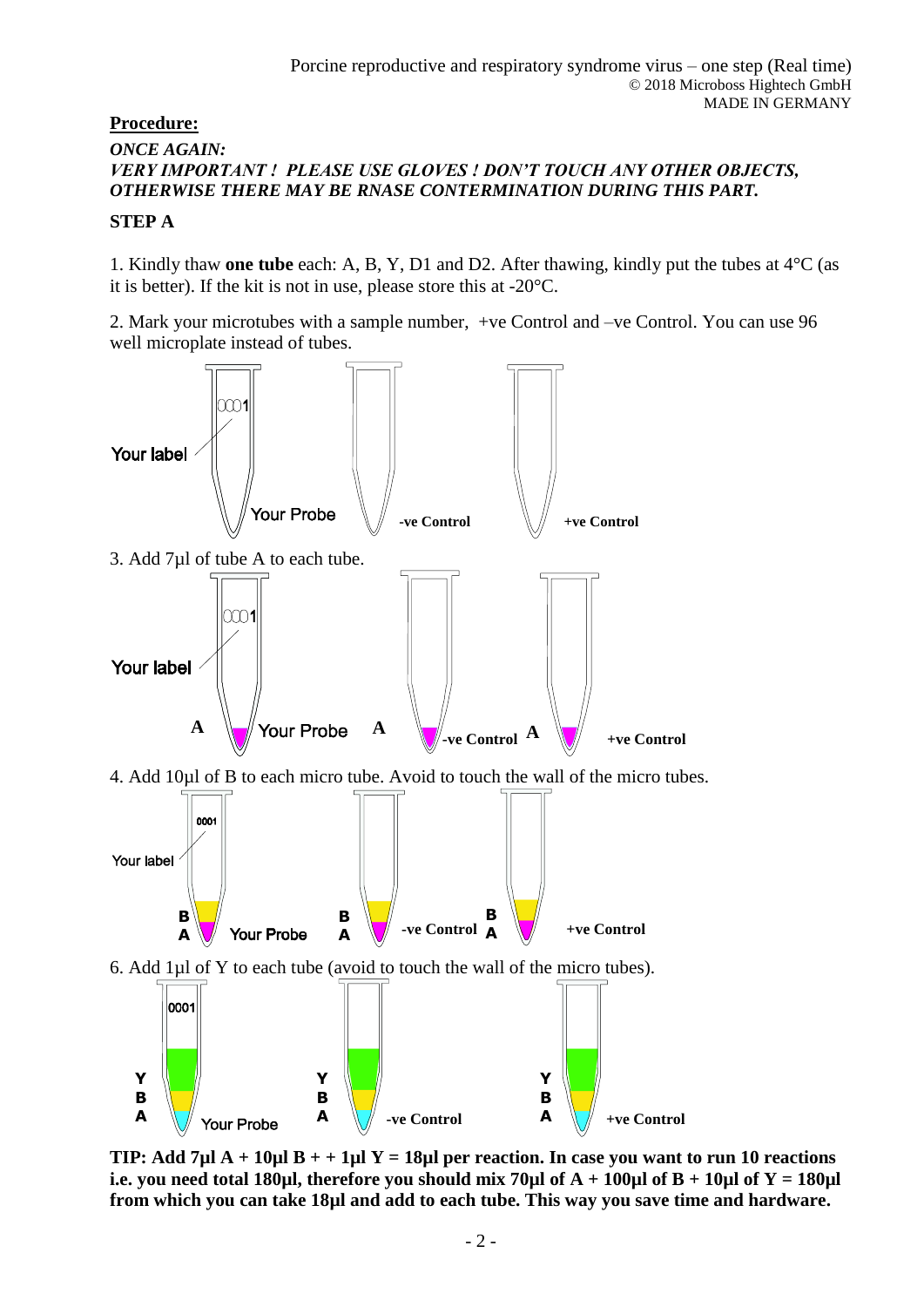## **Procedure:**

# *ONCE AGAIN: VERY IMPORTANT ! PLEASE USE GLOVES ! DON'T TOUCH ANY OTHER OBJECTS, OTHERWISE THERE MAY BE RNASE CONTERMINATION DURING THIS PART.*

### **STEP A**

1. Kindly thaw **one tube** each: A, B, Y, D1 and D2. After thawing, kindly put the tubes at 4°C (as it is better). If the kit is not in use, please store this at -20°C.

2. Mark your microtubes with a sample number, +ve Control and –ve Control. You can use 96 well microplate instead of tubes.



**TIP: Add 7µl A + 10µl B + + 1µl Y = 18µl per reaction. In case you want to run 10 reactions i.e. you need total 180µl, therefore you should mix 70µl of A + 100µl of B + 10µl of Y = 180µl from which you can take 18µl and add to each tube. This way you save time and hardware.**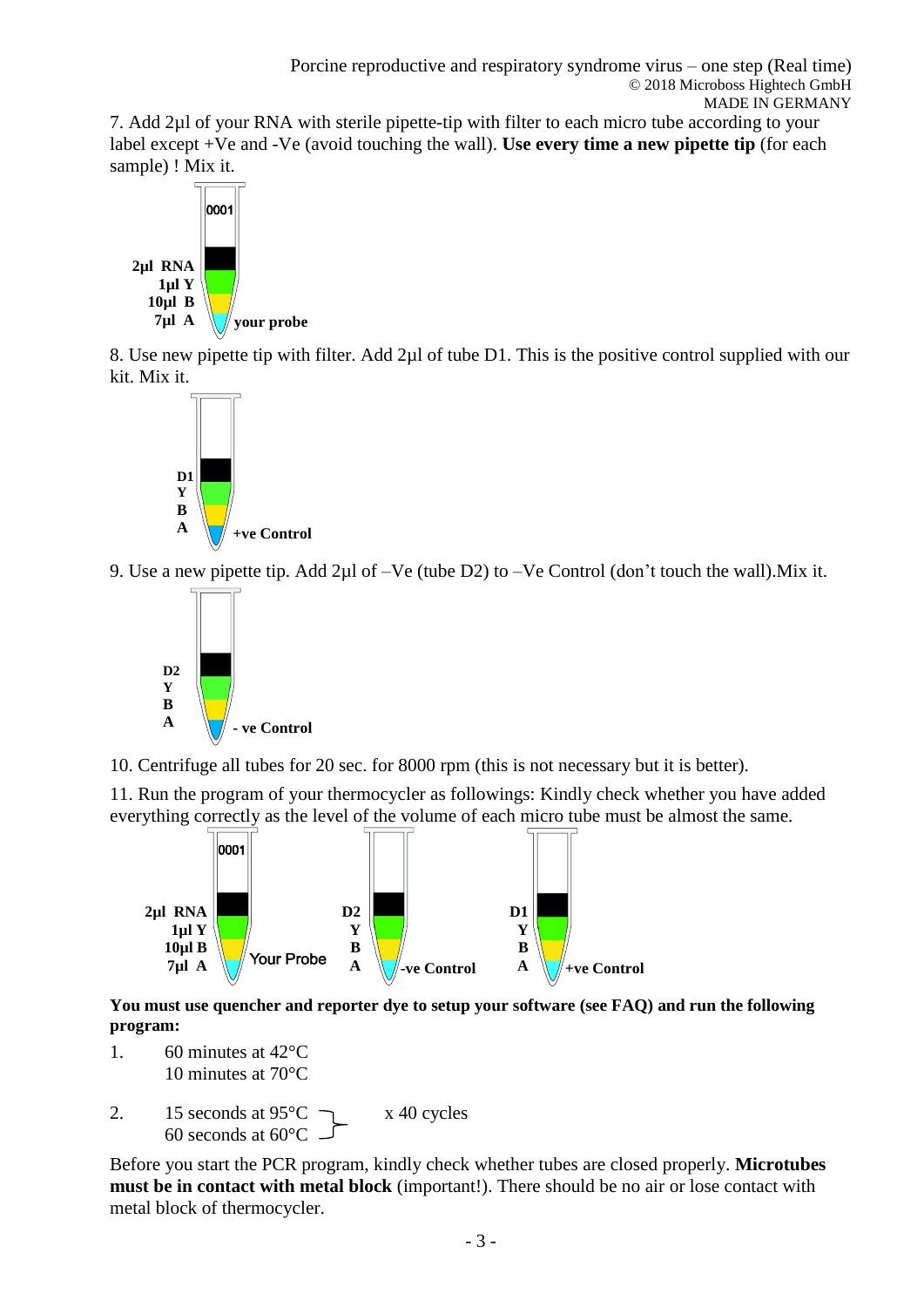7. Add 2µl of your RNA with sterile pipette-tip with filter to each micro tube according to your label except +Ve and -Ve (avoid touching the wall). **Use every time a new pipette tip** (for each sample) ! Mix it.



8. Use new pipette tip with filter. Add 2µl of tube D1. This is the positive control supplied with our kit. Mix it.



9. Use a new pipette tip. Add 2µl of –Ve (tube D2) to –Ve Control (don't touch the wall).Mix it.



10. Centrifuge all tubes for 20 sec. for 8000 rpm (this is not necessary but it is better).

11. Run the program of your thermocycler as followings: Kindly check whether you have added everything correctly as the level of the volume of each micro tube must be almost the same.



**You must use quencher and reporter dye to setup your software (see FAQ) and run the following program:**

- 1. 60 minutes at 42°C 10 minutes at 70°C
- 2. 15 seconds at  $95^{\circ}$ C  $\rightarrow x$  40 cycles 60 seconds at 60°C

Before you start the PCR program, kindly check whether tubes are closed properly. **Microtubes must be in contact with metal block** (important!). There should be no air or lose contact with metal block of thermocycler.